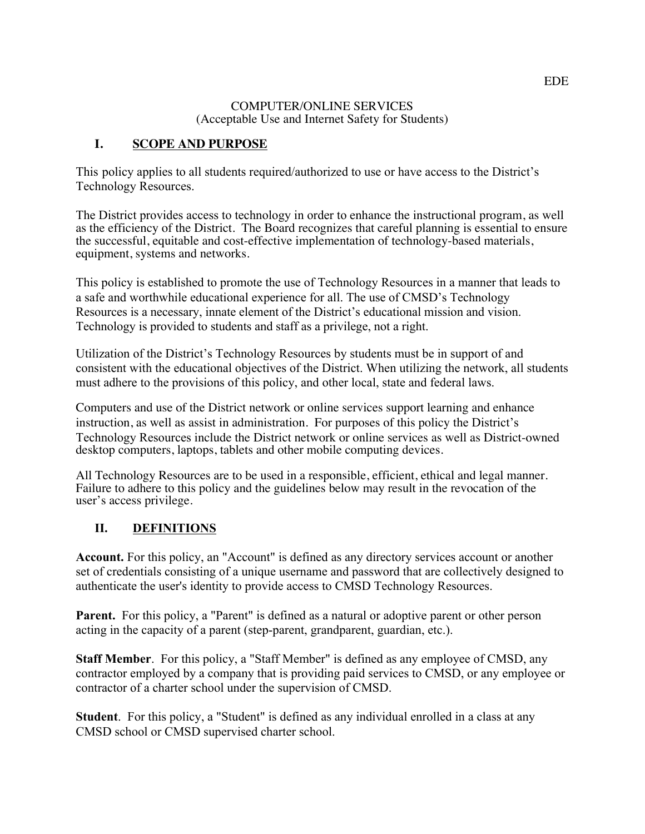#### COMPUTER/ONLINE SERVICES (Acceptable Use and Internet Safety for Students)

#### **I. SCOPE AND PURPOSE**

This policy applies to all students required/authorized to use or have access to the District's Technology Resources.

The District provides access to technology in order to enhance the instructional program, as well as the efficiency of the District. The Board recognizes that careful planning is essential to ensure the successful, equitable and cost-effective implementation of technology-based materials, equipment, systems and networks.

This policy is established to promote the use of Technology Resources in a manner that leads to a safe and worthwhile educational experience for all. The use of CMSD's Technology Resources is a necessary, innate element of the District's educational mission and vision. Technology is provided to students and staff as a privilege, not a right.

Utilization of the District's Technology Resources by students must be in support of and consistent with the educational objectives of the District. When utilizing the network, all students must adhere to the provisions of this policy, and other local, state and federal laws.

 Technology Resources include the District network or online services as well as District-owned Computers and use of the District network or online services support learning and enhance instruction, as well as assist in administration. For purposes of this policy the District's desktop computers, laptops, tablets and other mobile computing devices.

All Technology Resources are to be used in a responsible, efficient, ethical and legal manner. Failure to adhere to this policy and the guidelines below may result in the revocation of the user's access privilege.

#### **II. DEFINITIONS**

**Account.** For this policy, an "Account" is defined as any directory services account or another set of credentials consisting of a unique username and password that are collectively designed to authenticate the user's identity to provide access to CMSD Technology Resources.

Parent. For this policy, a "Parent" is defined as a natural or adoptive parent or other person acting in the capacity of a parent (step-parent, grandparent, guardian, etc.).

**Staff Member**. For this policy, a "Staff Member" is defined as any employee of CMSD, any contractor employed by a company that is providing paid services to CMSD, or any employee or contractor of a charter school under the supervision of CMSD.

**Student**. For this policy, a "Student" is defined as any individual enrolled in a class at any CMSD school or CMSD supervised charter school.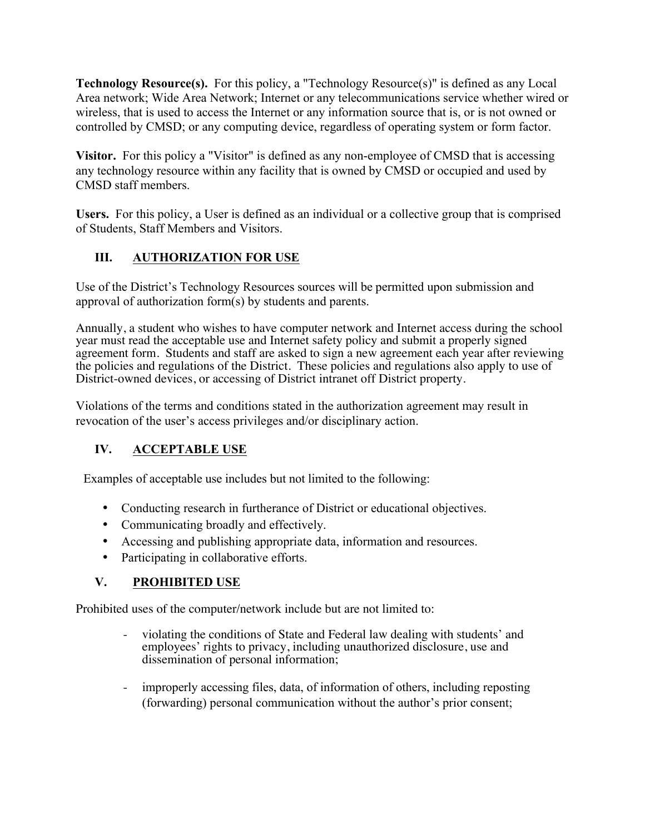**Technology Resource(s).** For this policy, a "Technology Resource(s)" is defined as any Local Area network; Wide Area Network; Internet or any telecommunications service whether wired or wireless, that is used to access the Internet or any information source that is, or is not owned or controlled by CMSD; or any computing device, regardless of operating system or form factor.

 **Visitor.** For this policy a "Visitor" is defined as any non-employee of CMSD that is accessing any technology resource within any facility that is owned by CMSD or occupied and used by CMSD staff members.

 **Users.** For this policy, a User is defined as an individual or a collective group that is comprised of Students, Staff Members and Visitors.

## **III. AUTHORIZATION FOR USE**

Use of the District's Technology Resources sources will be permitted upon submission and approval of authorization form(s) by students and parents.

Annually, a student who wishes to have computer network and Internet access during the school year must read the acceptable use and Internet safety policy and submit a properly signed agreement form. Students and staff are asked to sign a new agreement each year after reviewing the policies and regulations of the District. These policies and regulations also apply to use of District-owned devices, or accessing of District intranet off District property.

Violations of the terms and conditions stated in the authorization agreement may result in revocation of the user's access privileges and/or disciplinary action.

# **IV. ACCEPTABLE USE**

Examples of acceptable use includes but not limited to the following:

- Conducting research in furtherance of District or educational objectives.
- Communicating broadly and effectively.
- Accessing and publishing appropriate data, information and resources.
- Participating in collaborative efforts.

#### **V. PROHIBITED USE**

Prohibited uses of the computer/network include but are not limited to:

- violating the conditions of State and Federal law dealing with students' and employees' rights to privacy, including unauthorized disclosure, use and dissemination of personal information;
- improperly accessing files, data, of information of others, including reposting (forwarding) personal communication without the author's prior consent;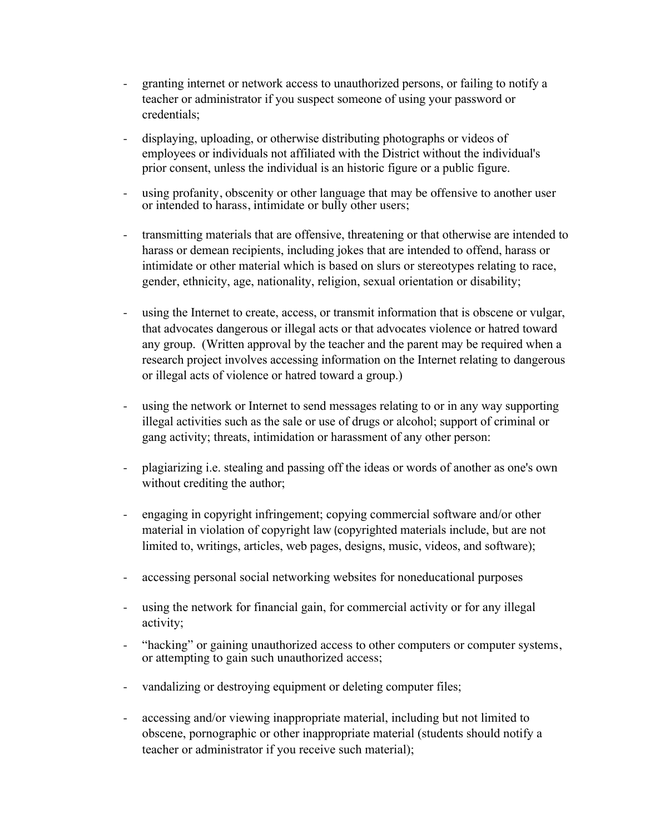- granting internet or network access to unauthorized persons, or failing to notify a teacher or administrator if you suspect someone of using your password or credentials;
- displaying, uploading, or otherwise distributing photographs or videos of employees or individuals not affiliated with the District without the individual's prior consent, unless the individual is an historic figure or a public figure.
- using profanity, obscenity or other language that may be offensive to another user or intended to harass, intimidate or bully other users;
- transmitting materials that are offensive, threatening or that otherwise are intended to harass or demean recipients, including jokes that are intended to offend, harass or intimidate or other material which is based on slurs or stereotypes relating to race, gender, ethnicity, age, nationality, religion, sexual orientation or disability;
- using the Internet to create, access, or transmit information that is obscene or vulgar, that advocates dangerous or illegal acts or that advocates violence or hatred toward any group. (Written approval by the teacher and the parent may be required when a research project involves accessing information on the Internet relating to dangerous or illegal acts of violence or hatred toward a group.)
- using the network or Internet to send messages relating to or in any way supporting illegal activities such as the sale or use of drugs or alcohol; support of criminal or gang activity; threats, intimidation or harassment of any other person:
- plagiarizing i.e. stealing and passing off the ideas or words of another as one's own without crediting the author;
- engaging in copyright infringement; copying commercial software and/or other material in violation of copyright law (copyrighted materials include, but are not limited to, writings, articles, web pages, designs, music, videos, and software);
- accessing personal social networking websites for noneducational purposes
- using the network for financial gain, for commercial activity or for any illegal activity;
- "hacking" or gaining unauthorized access to other computers or computer systems, or attempting to gain such unauthorized access;
- vandalizing or destroying equipment or deleting computer files;
- teacher or administrator if you receive such material); accessing and/or viewing inappropriate material, including but not limited to obscene, pornographic or other inappropriate material (students should notify a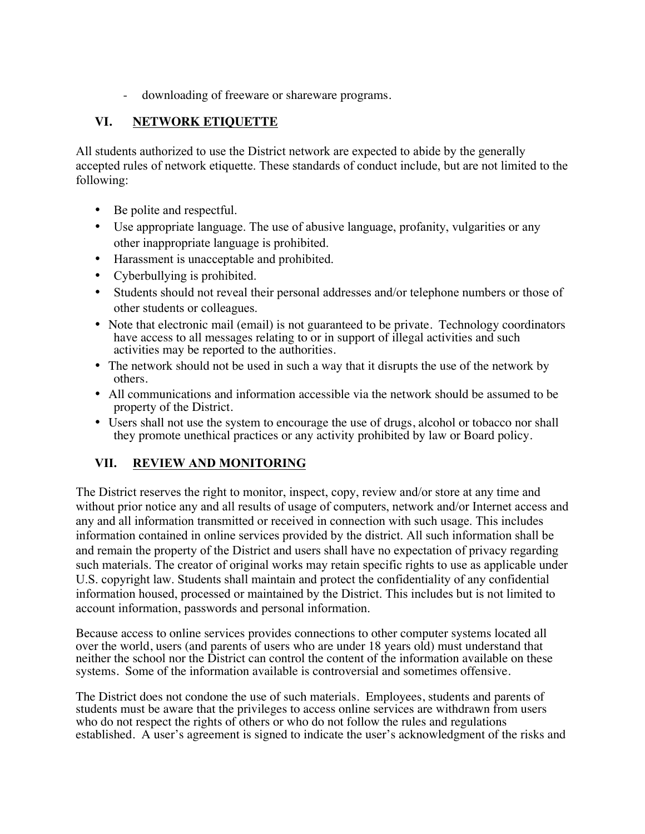- downloading of freeware or shareware programs.

## **VI. NETWORK ETIQUETTE**

 All students authorized to use the District network are expected to abide by the generally accepted rules of network etiquette. These standards of conduct include, but are not limited to the following:

- Be polite and respectful.
- Use appropriate language. The use of abusive language, profanity, vulgarities or any other inappropriate language is prohibited.
- Harassment is unacceptable and prohibited.
- Cyberbullying is prohibited.
- • Students should not reveal their personal addresses and/or telephone numbers or those of other students or colleagues.
- Note that electronic mail (email) is not guaranteed to be private. Technology coordinators have access to all messages relating to or in support of illegal activities and such activities may be reported to the authorities.
- The network should not be used in such a way that it disrupts the use of the network by others.
- All communications and information accessible via the network should be assumed to be property of the District.
- Users shall not use the system to encourage the use of drugs, alcohol or tobacco nor shall they promote unethical practices or any activity prohibited by law or Board policy.

#### **VII. REVIEW AND MONITORING**

The District reserves the right to monitor, inspect, copy, review and/or store at any time and without prior notice any and all results of usage of computers, network and/or Internet access and any and all information transmitted or received in connection with such usage. This includes information contained in online services provided by the district. All such information shall be and remain the property of the District and users shall have no expectation of privacy regarding such materials. The creator of original works may retain specific rights to use as applicable under U.S. copyright law. Students shall maintain and protect the confidentiality of any confidential information housed, processed or maintained by the District. This includes but is not limited to account information, passwords and personal information.

Because access to online services provides connections to other computer systems located all over the world, users (and parents of users who are under 18 years old) must understand that neither the school nor the District can control the content of the information available on these systems. Some of the information available is controversial and sometimes offensive.

The District does not condone the use of such materials. Employees, students and parents of students must be aware that the privileges to access online services are withdrawn from users who do not respect the rights of others or who do not follow the rules and regulations established. A user's agreement is signed to indicate the user's acknowledgment of the risks and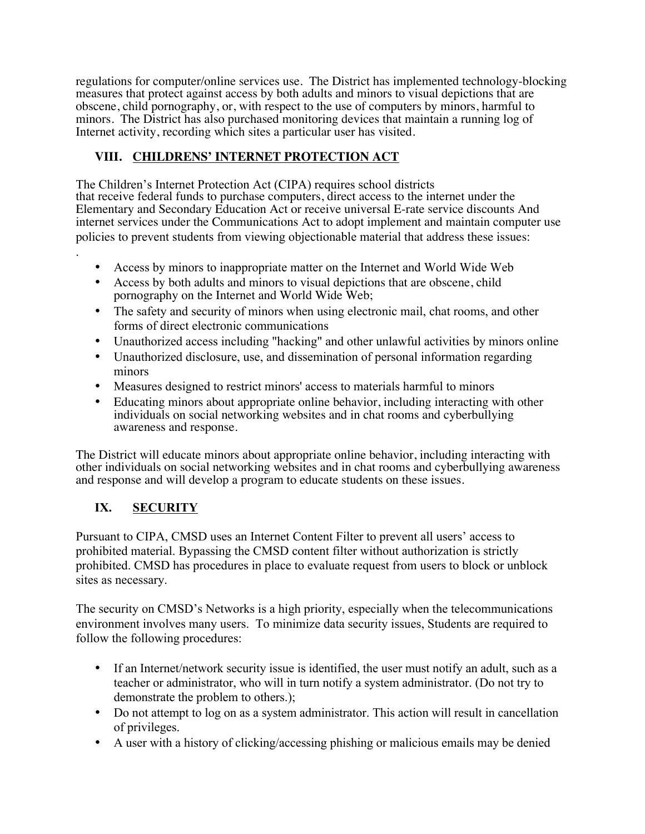regulations for computer/online services use. The District has implemented technology-blocking measures that protect against access by both adults and minors to visual depictions that are obscene, child pornography, or, with respect to the use of computers by minors, harmful to minors. The District has also purchased monitoring devices that maintain a running log of Internet activity, recording which sites a particular user has visited.

## **VIII. CHILDRENS' INTERNET PROTECTION ACT**

 Elementary and Secondary Education Act or receive universal E-rate service discounts And The Children's Internet Protection Act (CIPA) requires school districts that receive federal funds to purchase computers, direct access to the internet under the internet services under the Communications Act to adopt implement and maintain computer use policies to prevent students from viewing objectionable material that address these issues:

- Access by minors to inappropriate matter on the Internet and World Wide Web
- Access by both adults and minors to visual depictions that are obscene, child pornography on the Internet and World Wide Web;
- The safety and security of minors when using electronic mail, chat rooms, and other forms of direct electronic communications
- Unauthorized access including "hacking" and other unlawful activities by minors online
- Unauthorized disclosure, use, and dissemination of personal information regarding minors
- Measures designed to restrict minors' access to materials harmful to minors
- Educating minors about appropriate online behavior, including interacting with other individuals on social networking websites and in chat rooms and cyberbullying awareness and response.

The District will educate minors about appropriate online behavior, including interacting with other individuals on social networking websites and in chat rooms and cyberbullying awareness and response and will develop a program to educate students on these issues.

# **IX. SECURITY**

.

Pursuant to CIPA, CMSD uses an Internet Content Filter to prevent all users' access to prohibited material. Bypassing the CMSD content filter without authorization is strictly prohibited. CMSD has procedures in place to evaluate request from users to block or unblock sites as necessary.

The security on CMSD's Networks is a high priority, especially when the telecommunications environment involves many users. To minimize data security issues, Students are required to follow the following procedures:

- If an Internet/network security issue is identified, the user must notify an adult, such as a teacher or administrator, who will in turn notify a system administrator. (Do not try to demonstrate the problem to others.);
- Do not attempt to log on as a system administrator. This action will result in cancellation of privileges.
- A user with a history of clicking/accessing phishing or malicious emails may be denied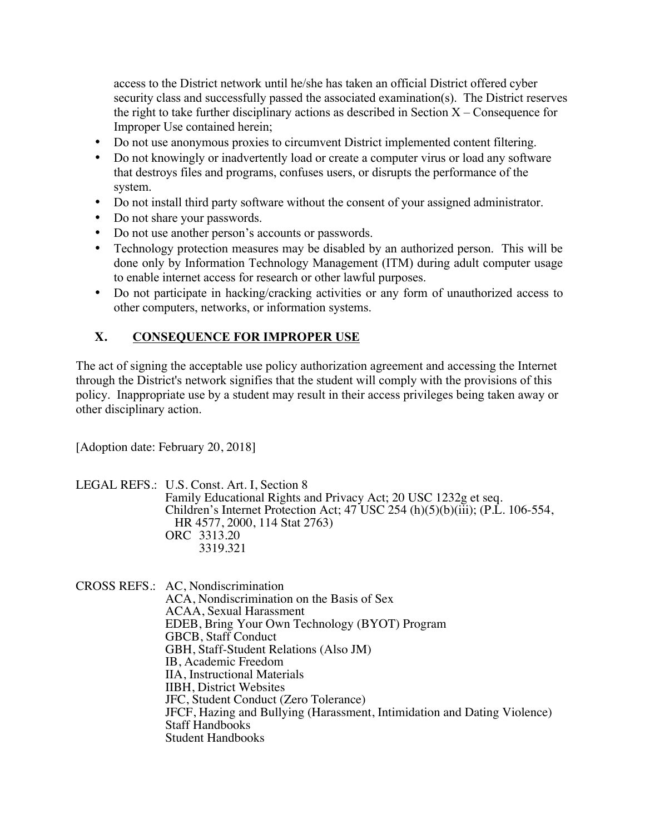the right to take further disciplinary actions as described in Section  $X -$ Consequence for access to the District network until he/she has taken an official District offered cyber security class and successfully passed the associated examination(s). The District reserves Improper Use contained herein;

- Do not use anonymous proxies to circumvent District implemented content filtering.
- Do not knowingly or inadvertently load or create a computer virus or load any software that destroys files and programs, confuses users, or disrupts the performance of the system.
- Do not install third party software without the consent of your assigned administrator.
- Do not share your passwords.
- Do not use another person's accounts or passwords.
- Technology protection measures may be disabled by an authorized person. This will be done only by Information Technology Management (ITM) during adult computer usage to enable internet access for research or other lawful purposes.
- Do not participate in hacking/cracking activities or any form of unauthorized access to other computers, networks, or information systems.

#### **X. CONSEQUENCE FOR IMPROPER USE**

The act of signing the acceptable use policy authorization agreement and accessing the Internet through the District's network signifies that the student will comply with the provisions of this policy. Inappropriate use by a student may result in their access privileges being taken away or other disciplinary action.

[Adoption date: February 20, 2018]

 ORC 3313.20 LEGAL REFS.: U.S. Const. Art. I, Section 8 Family Educational Rights and Privacy Act; 20 USC 1232g et seq. Children's Internet Protection Act;  $47$  USC 254 (h)(5)(b)(iii); (P.L. 106-554, HR 4577, 2000, 114 Stat 2763) 3319.321

CROSS REFS.: AC, Nondiscrimination ACA, Nondiscrimination on the Basis of Sex ACAA, Sexual Harassment EDEB, Bring Your Own Technology (BYOT) Program GBCB, Staff Conduct GBH, Staff-Student Relations (Also JM) IB, Academic Freedom IIA, Instructional Materials IIBH, District Websites JFC, Student Conduct (Zero Tolerance) JFCF, Hazing and Bullying (Harassment, Intimidation and Dating Violence) Staff Handbooks Student Handbooks